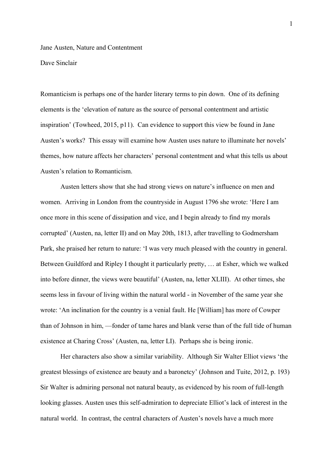Jane Austen, Nature and Contentment

Dave Sinclair

Romanticism is perhaps one of the harder literary terms to pin down. One of its defining elements is the 'elevation of nature as the source of personal contentment and artistic inspiration' (Towheed, 2015, p11). Can evidence to support this view be found in Jane Austen's works? This essay will examine how Austen uses nature to illuminate her novels' themes, how nature affects her characters' personal contentment and what this tells us about Austen's relation to Romanticism.

Austen letters show that she had strong views on nature's influence on men and women. Arriving in London from the countryside in August 1796 she wrote: 'Here I am once more in this scene of dissipation and vice, and I begin already to find my morals corrupted' (Austen, na, letter II) and on May 20th, 1813, after travelling to Godmersham Park, she praised her return to nature: 'I was very much pleased with the country in general. Between Guildford and Ripley I thought it particularly pretty, … at Esher, which we walked into before dinner, the views were beautiful' (Austen, na, letter XLIII). At other times, she seems less in favour of living within the natural world - in November of the same year she wrote: 'An inclination for the country is a venial fault. He [William] has more of Cowper than of Johnson in him, —fonder of tame hares and blank verse than of the full tide of human existence at Charing Cross' (Austen, na, letter LI). Perhaps she is being ironic.

Her characters also show a similar variability. Although Sir Walter Elliot views 'the greatest blessings of existence are beauty and a baronetcy' (Johnson and Tuite, 2012, p. 193) Sir Walter is admiring personal not natural beauty, as evidenced by his room of full-length looking glasses. Austen uses this self-admiration to depreciate Elliot's lack of interest in the natural world. In contrast, the central characters of Austen's novels have a much more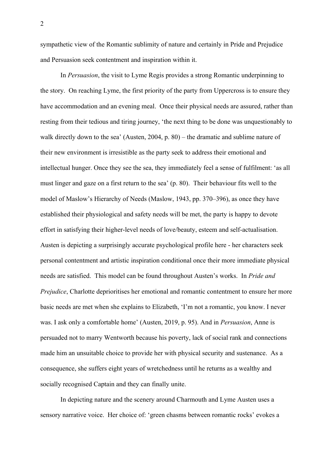sympathetic view of the Romantic sublimity of nature and certainly in Pride and Prejudice and Persuasion seek contentment and inspiration within it.

In *Persuasion*, the visit to Lyme Regis provides a strong Romantic underpinning to the story. On reaching Lyme, the first priority of the party from Uppercross is to ensure they have accommodation and an evening meal. Once their physical needs are assured, rather than resting from their tedious and tiring journey, 'the next thing to be done was unquestionably to walk directly down to the sea' (Austen, 2004, p. 80) – the dramatic and sublime nature of their new environment is irresistible as the party seek to address their emotional and intellectual hunger. Once they see the sea, they immediately feel a sense of fulfilment: 'as all must linger and gaze on a first return to the sea' (p. 80). Their behaviour fits well to the model of Maslow's Hierarchy of Needs (Maslow, 1943, pp. 370–396), as once they have established their physiological and safety needs will be met, the party is happy to devote effort in satisfying their higher-level needs of love/beauty, esteem and self-actualisation. Austen is depicting a surprisingly accurate psychological profile here - her characters seek personal contentment and artistic inspiration conditional once their more immediate physical needs are satisfied. This model can be found throughout Austen's works. In *Pride and Prejudice*, Charlotte deprioritises her emotional and romantic contentment to ensure her more basic needs are met when she explains to Elizabeth, 'I'm not a romantic, you know. I never was. I ask only a comfortable home' (Austen, 2019, p. 95). And in *Persuasion*, Anne is persuaded not to marry Wentworth because his poverty, lack of social rank and connections made him an unsuitable choice to provide her with physical security and sustenance. As a consequence, she suffers eight years of wretchedness until he returns as a wealthy and socially recognised Captain and they can finally unite.

In depicting nature and the scenery around Charmouth and Lyme Austen uses a sensory narrative voice. Her choice of: 'green chasms between romantic rocks' evokes a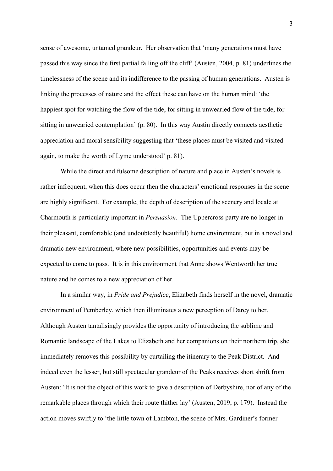sense of awesome, untamed grandeur. Her observation that 'many generations must have passed this way since the first partial falling off the cliff' (Austen, 2004, p. 81) underlines the timelessness of the scene and its indifference to the passing of human generations. Austen is linking the processes of nature and the effect these can have on the human mind: 'the happiest spot for watching the flow of the tide, for sitting in unwearied flow of the tide, for sitting in unwearied contemplation' (p. 80). In this way Austin directly connects aesthetic appreciation and moral sensibility suggesting that 'these places must be visited and visited again, to make the worth of Lyme understood' p. 81).

While the direct and fulsome description of nature and place in Austen's novels is rather infrequent, when this does occur then the characters' emotional responses in the scene are highly significant. For example, the depth of description of the scenery and locale at Charmouth is particularly important in *Persuasion*. The Uppercross party are no longer in their pleasant, comfortable (and undoubtedly beautiful) home environment, but in a novel and dramatic new environment, where new possibilities, opportunities and events may be expected to come to pass. It is in this environment that Anne shows Wentworth her true nature and he comes to a new appreciation of her.

In a similar way, in *Pride and Prejudice*, Elizabeth finds herself in the novel, dramatic environment of Pemberley, which then illuminates a new perception of Darcy to her. Although Austen tantalisingly provides the opportunity of introducing the sublime and Romantic landscape of the Lakes to Elizabeth and her companions on their northern trip, she immediately removes this possibility by curtailing the itinerary to the Peak District. And indeed even the lesser, but still spectacular grandeur of the Peaks receives short shrift from Austen: 'It is not the object of this work to give a description of Derbyshire, nor of any of the remarkable places through which their route thither lay' (Austen, 2019, p. 179). Instead the action moves swiftly to 'the little town of Lambton, the scene of Mrs. Gardiner's former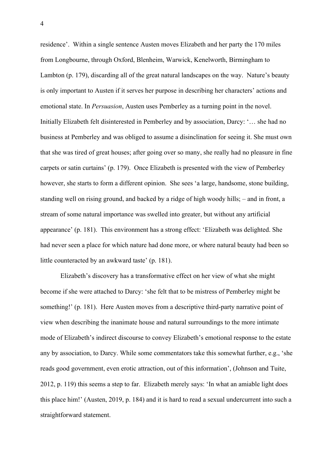residence'. Within a single sentence Austen moves Elizabeth and her party the 170 miles from Longbourne, through Oxford, Blenheim, Warwick, Kenelworth, Birmingham to Lambton (p. 179), discarding all of the great natural landscapes on the way. Nature's beauty is only important to Austen if it serves her purpose in describing her characters' actions and emotional state. In *Persuasion*, Austen uses Pemberley as a turning point in the novel. Initially Elizabeth felt disinterested in Pemberley and by association, Darcy: '… she had no business at Pemberley and was obliged to assume a disinclination for seeing it. She must own that she was tired of great houses; after going over so many, she really had no pleasure in fine carpets or satin curtains' (p. 179). Once Elizabeth is presented with the view of Pemberley however, she starts to form a different opinion. She sees 'a large, handsome, stone building, standing well on rising ground, and backed by a ridge of high woody hills; – and in front, a stream of some natural importance was swelled into greater, but without any artificial appearance' (p. 181). This environment has a strong effect: 'Elizabeth was delighted. She had never seen a place for which nature had done more, or where natural beauty had been so little counteracted by an awkward taste' (p. 181).

Elizabeth's discovery has a transformative effect on her view of what she might become if she were attached to Darcy: 'she felt that to be mistress of Pemberley might be something!' (p. 181). Here Austen moves from a descriptive third-party narrative point of view when describing the inanimate house and natural surroundings to the more intimate mode of Elizabeth's indirect discourse to convey Elizabeth's emotional response to the estate any by association, to Darcy. While some commentators take this somewhat further, e.g., 'she reads good government, even erotic attraction, out of this information', (Johnson and Tuite, 2012, p. 119) this seems a step to far. Elizabeth merely says: 'In what an amiable light does this place him!' (Austen, 2019, p. 184) and it is hard to read a sexual undercurrent into such a straightforward statement.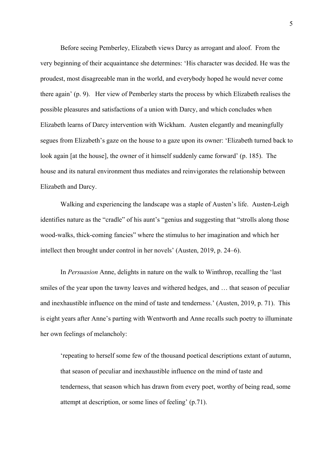Before seeing Pemberley, Elizabeth views Darcy as arrogant and aloof. From the very beginning of their acquaintance she determines: 'His character was decided. He was the proudest, most disagreeable man in the world, and everybody hoped he would never come there again' (p. 9). Her view of Pemberley starts the process by which Elizabeth realises the possible pleasures and satisfactions of a union with Darcy, and which concludes when Elizabeth learns of Darcy intervention with Wickham. Austen elegantly and meaningfully segues from Elizabeth's gaze on the house to a gaze upon its owner: 'Elizabeth turned back to look again [at the house], the owner of it himself suddenly came forward' (p. 185). The house and its natural environment thus mediates and reinvigorates the relationship between Elizabeth and Darcy.

Walking and experiencing the landscape was a staple of Austen's life. Austen-Leigh identifies nature as the "cradle" of his aunt's "genius and suggesting that "strolls along those wood-walks, thick-coming fancies" where the stimulus to her imagination and which her intellect then brought under control in her novels' (Austen, 2019, p. 24–6).

In *Persuasion* Anne, delights in nature on the walk to Winthrop, recalling the 'last smiles of the year upon the tawny leaves and withered hedges, and … that season of peculiar and inexhaustible influence on the mind of taste and tenderness.' (Austen, 2019, p. 71). This is eight years after Anne's parting with Wentworth and Anne recalls such poetry to illuminate her own feelings of melancholy:

'repeating to herself some few of the thousand poetical descriptions extant of autumn, that season of peculiar and inexhaustible influence on the mind of taste and tenderness, that season which has drawn from every poet, worthy of being read, some attempt at description, or some lines of feeling' (p.71).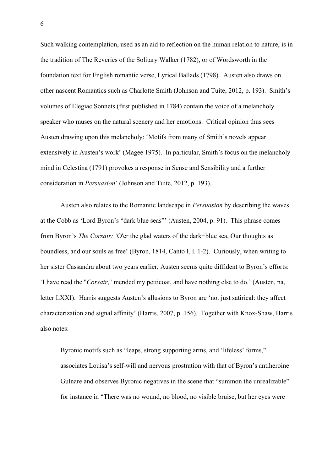Such walking contemplation, used as an aid to reflection on the human relation to nature, is in the tradition of The Reveries of the Solitary Walker (1782), or of Wordsworth in the foundation text for English romantic verse, Lyrical Ballads (1798). Austen also draws on other nascent Romantics such as Charlotte Smith (Johnson and Tuite, 2012, p. 193). Smith's volumes of Elegiac Sonnets (first published in 1784) contain the voice of a melancholy speaker who muses on the natural scenery and her emotions. Critical opinion thus sees Austen drawing upon this melancholy: 'Motifs from many of Smith's novels appear extensively in Austen's work' (Magee 1975). In particular, Smith's focus on the melancholy mind in Celestina (1791) provokes a response in Sense and Sensibility and a further consideration in *Persuasion*' (Johnson and Tuite, 2012, p. 193).

Austen also relates to the Romantic landscape in *Persuasion* by describing the waves at the Cobb as 'Lord Byron's "dark blue seas"' (Austen, 2004, p. 91). This phrase comes from Byron's *The Corsair: '*O'er the glad waters of the dark−blue sea, Our thoughts as boundless, and our souls as free' (Byron, 1814, Canto I, l. 1-2). Curiously, when writing to her sister Cassandra about two years earlier, Austen seems quite diffident to Byron's efforts: 'I have read the "*Corsair*," mended my petticoat, and have nothing else to do.' (Austen, na, letter LXXI). Harris suggests Austen's allusions to Byron are 'not just satirical: they affect characterization and signal affinity' (Harris, 2007, p. 156). Together with Knox-Shaw, Harris also notes:

Byronic motifs such as "leaps, strong supporting arms, and 'lifeless' forms," associates Louisa's self-will and nervous prostration with that of Byron's antiheroine Gulnare and observes Byronic negatives in the scene that "summon the unrealizable" for instance in "There was no wound, no blood, no visible bruise, but her eyes were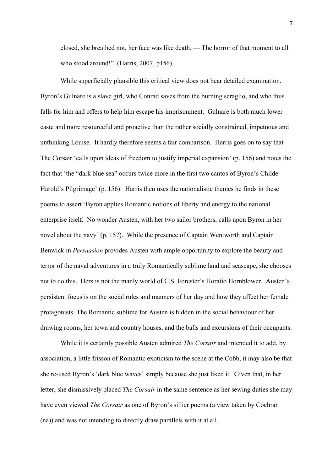closed, she breathed not, her face was like death. — The horror of that moment to all who stood around!" (Harris, 2007, p156).

While superficially plausible this critical view does not bear detailed examination. Byron's Gulnare is a slave girl, who Conrad saves from the burning seraglio, and who thus falls for him and offers to help him escape his imprisonment. Gulnare is both much lower caste and more resourceful and proactive than the rather socially constrained, impetuous and unthinking Louise. It hardly therefore seems a fair comparison. Harris goes on to say that The Corsair 'calls upon ideas of freedom to justify imperial expansion' (p. 156) and notes the fact that 'the "dark blue sea" occurs twice more in the first two cantos of Byron's Childe Harold's Pilgrimage' (p. 156). Harris then uses the nationalistic themes he finds in these poems to assert 'Byron applies Romantic notions of liberty and energy to the national enterprise itself. No wonder Austen, with her two sailor brothers, calls upon Byron in her novel about the navy' (p. 157). While the presence of Captain Wentworth and Captain Benwick in *Persuasion* provides Austen with ample opportunity to explore the beauty and terror of the naval adventures in a truly Romantically sublime land and seascape, she chooses not to do this. Hers is not the manly world of C.S. Forester's Horatio Hornblower. Austen's persistent focus is on the social rules and manners of her day and how they affect her female protagonists. The Romantic sublime for Austen is hidden in the social behaviour of her drawing rooms, her town and country houses, and the balls and excursions of their occupants.

While it is certainly possible Austen admired *The Corsair* and intended it to add, by association, a little frisson of Romantic exoticism to the scene at the Cobb, it may also be that she re-used Byron's 'dark blue waves' simply because she just liked it. Given that, in her letter, she dismissively placed *The Corsair* in the same sentence as her sewing duties she may have even viewed *The Corsair* as one of Byron's sillier poems (a view taken by Cochran (na)) and was not intending to directly draw parallels with it at all.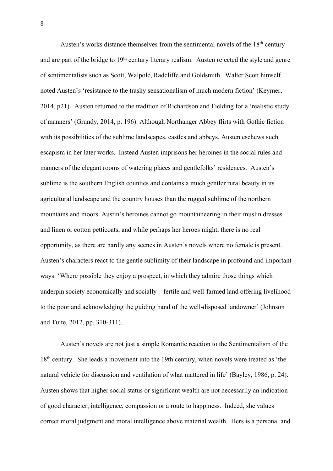Austen's works distance themselves from the sentimental novels of the 18<sup>th</sup> century and are part of the bridge to 19<sup>th</sup> century literary realism. Austen rejected the style and genre of sentimentalists such as Scott, Walpole, Radcliffe and Goldsmith. Walter Scott himself noted Austen's 'resistance to the trashy sensationalism of much modern fiction' (Keymer, 2014, p21). Austen returned to the tradition of Richardson and Fielding for a 'realistic study of manners' (Grundy, 2014, p. 196). Although Northanger Abbey flirts with Gothic fiction with its possibilities of the sublime landscapes, castles and abbeys, Austen eschews such escapism in her later works. Instead Austen imprisons her heroines in the social rules and manners of the elegant rooms of watering places and gentlefolks' residences. Austen's sublime is the southern English counties and contains a much gentler rural beauty in its agricultural landscape and the country houses than the rugged sublime of the northern mountains and moors. Austin's heroines cannot go mountaineering in their muslin dresses and linen or cotton petticoats, and while perhaps her heroes might, there is no real opportunity, as there are hardly any scenes in Austen's novels where no female is present. Austen's characters react to the gentle sublimity of their landscape in profound and important ways: 'Where possible they enjoy a prospect, in which they admire those things which underpin society economically and socially – fertile and well-farmed land offering livelihood to the poor and acknowledging the guiding hand of the well-disposed landowner' (Johnson and Tuite, 2012, pp. 310-311).

Austen's novels are not just a simple Romantic reaction to the Sentimentalism of the 18<sup>th</sup> century. She leads a movement into the 19th century, when novels were treated as 'the natural vehicle for discussion and ventilation of what mattered in life' (Bayley, 1986, p. 24). Austen shows that higher social status or significant wealth are not necessarily an indication of good character, intelligence, compassion or a route to happiness. Indeed, she values correct moral judgment and moral intelligence above material wealth. Hers is a personal and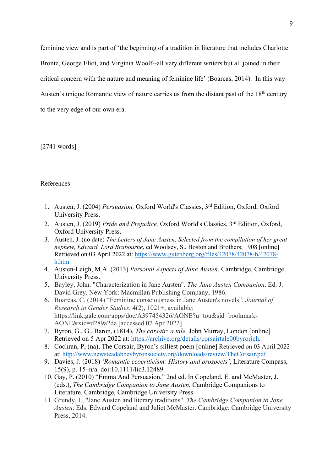feminine view and is part of 'the beginning of a tradition in literature that includes Charlotte Bronte, George Eliot, and Virginia Woolf--all very different writers but all joined in their critical concern with the nature and meaning of feminine life' (Boarcas, 2014). In this way Austen's unique Romantic view of nature carries us from the distant past of the 18<sup>th</sup> century to the very edge of our own era.

[2741 words]

## References

- 1. Austen, J. (2004) *Persuasion,* Oxford World's Classics, 3rd Edition, Oxford, Oxford University Press.
- 2. Austen, J. (2019) *Pride and Prejudice,* Oxford World's Classics, 3rd Edition, Oxford, Oxford University Press.
- 3. Austen, J. (no date) *The Letters of Jane Austen, Selected from the compilation of her great nephew, Edward, Lord Brabourne*, ed Woolsey, S., Boston and Brothers, 1908 [online] Retrieved on 03 April 2022 at: https://www.gutenberg.org/files/42078/42078-h/42078 h.htm
- 4. Austen-Leigh, M.A. (2013) *Personal Aspects of Jane Austen*, Cambridge, Cambridge University Press.
- 5. Bayley, John. "Characterization in Jane Austen". *The Jane Austen Companion*. Ed. J. David Grey. New York: Macmillan Publishing Company, 1986.
- 6. Boarcas, C. (2014) "Feminine consciousness in Jane Austen's novels", *Journal of Research in Gender Studies*, 4(2), 1021+, available: https://link.gale.com/apps/doc/A397454326/AONE?u=tou&sid=bookmark-AONE&xid=d289a2de [accessed 07 Apr 2022].
- 7. Byron, G., G., Baron, (1814), *The corsair: a tale,* John Murray, London [online] Retrieved on 5 Apr 2022 at: https://archive.org/details/corsairtale00byrorich.
- 8. Cochran, P, (na), The Corsair, Byron's silliest poem [online] Retrieved on 03 April 2022 at: http://www.newsteadabbeybyronsociety.org/downloads/review/TheCorsair.pdf
- 9. Davies, J. (2018) *'Romantic ecocriticism: History and prospects'*, Literature Compass, 15(9), p. 15–n/a. doi:10.1111/lic3.12489.
- 10. Gay, P. (2010) "Emma And Persuasion," 2nd ed. In Copeland, E. and McMaster, J. (eds.), *The Cambridge Companion to Jane Austen*, Cambridge Companions to Literature, Cambridge, Cambridge University Press
- 11. Grundy, I., "Jane Austen and literary traditions". *The Cambridge Companion to Jane Austen*. Eds. Edward Copeland and Juliet McMaster. Cambridge: Cambridge University Press, 2014.